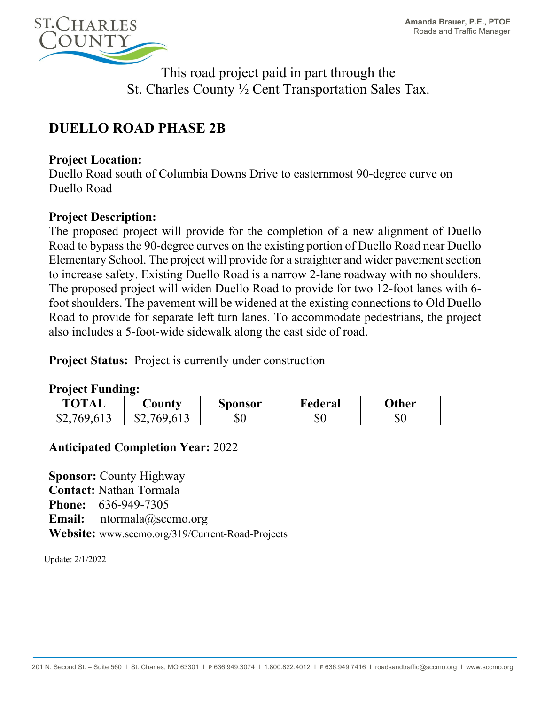

This road project paid in part through the St. Charles County ½ Cent Transportation Sales Tax.

# **DUELLO ROAD PHASE 2B**

#### **Project Location:**

Duello Road south of Columbia Downs Drive to easternmost 90-degree curve on Duello Road

## **Project Description:**

The proposed project will provide for the completion of a new alignment of Duello Road to bypass the 90-degree curves on the existing portion of Duello Road near Duello Elementary School. The project will provide for a straighter and wider pavement section to increase safety. Existing Duello Road is a narrow 2-lane roadway with no shoulders. The proposed project will widen Duello Road to provide for two 12-foot lanes with 6 foot shoulders. The pavement will be widened at the existing connections to Old Duello Road to provide for separate left turn lanes. To accommodate pedestrians, the project also includes a 5-foot-wide sidewalk along the east side of road.

**Project Status:** Project is currently under construction

#### **Project Funding:**

| <b>TOTAL</b> | County      | <b>Sponsor</b> | Federal | Other |
|--------------|-------------|----------------|---------|-------|
| \$2,769,613  | \$2,769,613 | $\$0$          | \$0     | \$0   |

## **Anticipated Completion Year:** 2022

**Sponsor:** County Highway **Contact:** Nathan Tormala **Phone:** 636-949-7305 **Email:** ntormala@sccmo.org **Website:** www.sccmo.org/319/Current-Road-Projects

Update: 2/1/2022